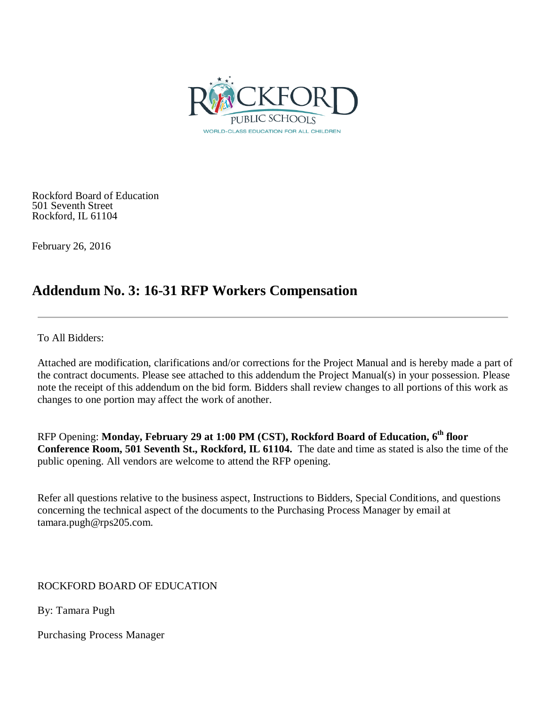

Rockford Board of Education 501 Seventh Street Rockford, IL 61104

February 26, 2016

# **Addendum No. 3: 16-31 RFP Workers Compensation**

To All Bidders:

Attached are modification, clarifications and/or corrections for the Project Manual and is hereby made a part of the contract documents. Please see attached to this addendum the Project Manual(s) in your possession. Please note the receipt of this addendum on the bid form. Bidders shall review changes to all portions of this work as changes to one portion may affect the work of another.

RFP Opening: **Monday, February 29 at 1:00 PM (CST), Rockford Board of Education, 6th floor Conference Room, 501 Seventh St., Rockford, IL 61104.** The date and time as stated is also the time of the public opening. All vendors are welcome to attend the RFP opening.

Refer all questions relative to the business aspect, Instructions to Bidders, Special Conditions, and questions concerning the technical aspect of the documents to the Purchasing Process Manager by email at tamara.pugh@rps205.com.

ROCKFORD BOARD OF EDUCATION

By: Tamara Pugh

Purchasing Process Manager